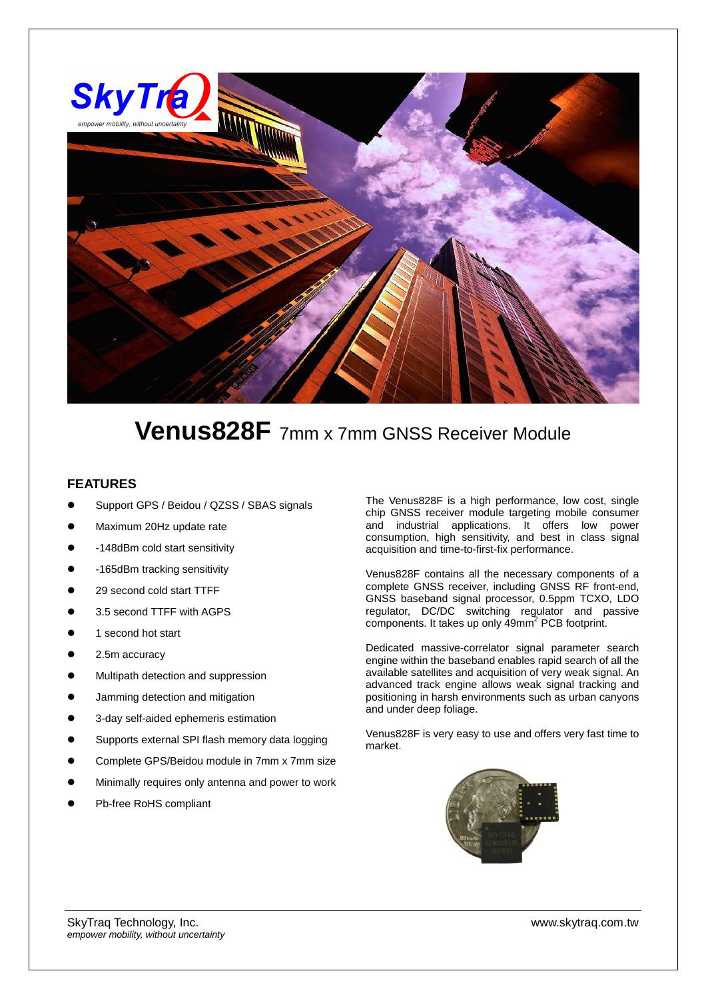

# **Venus828F** 7mm x 7mm GNSS Receiver Module

#### **FEATURES**

- Support GPS / Beidou / QZSS / SBAS signals
- Maximum 20Hz update rate
- -148dBm cold start sensitivity
- -165dBm tracking sensitivity
- 29 second cold start TTFF
- 3.5 second TTFF with AGPS
- 1 second hot start
- 2.5m accuracy
- Multipath detection and suppression
- Jamming detection and mitigation
- 3-day self-aided ephemeris estimation
- Supports external SPI flash memory data logging
- Complete GPS/Beidou module in 7mm x 7mm size
- Minimally requires only antenna and power to work
- Pb-free RoHS compliant

The Venus828F is a high performance, low cost, single chip GNSS receiver module targeting mobile consumer and industrial applications. It offers low power consumption, high sensitivity, and best in class signal acquisition and time-to-first-fix performance.

Venus828F contains all the necessary components of a complete GNSS receiver, including GNSS RF front-end, GNSS baseband signal processor, 0.5ppm TCXO, LDO regulator, DC/DC switching regulator and passive components. It takes up only 49mm<sup>2</sup> PCB footprint.

Dedicated massive-correlator signal parameter search engine within the baseband enables rapid search of all the available satellites and acquisition of very weak signal. An advanced track engine allows weak signal tracking and positioning in harsh environments such as urban canyons and under deep foliage.

Venus828F is very easy to use and offers very fast time to market.